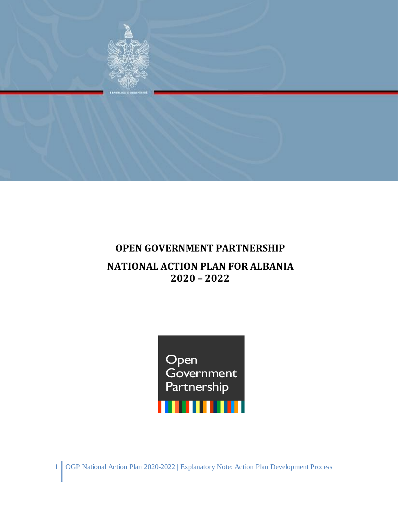

# **OPEN GOVERNMENT PARTNERSHIP**

# **NATIONAL ACTION PLAN FOR ALBANIA 2020 – 2022**



1 OGP National Action Plan 2020-2022 | Explanatory Note: Action Plan Development Process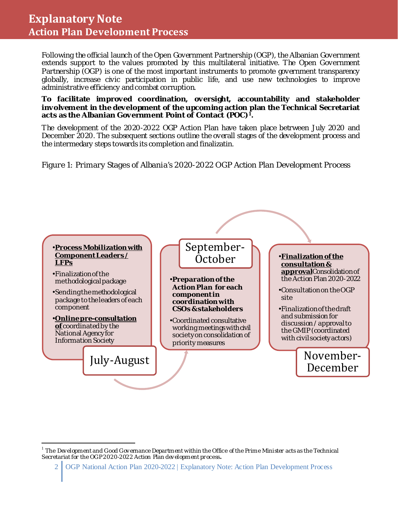# **Explanatory Note Action Plan Development Process**

Following the official launch of the Open Government Partnership (OGP), the Albanian Government extends support to the values promoted by this multilateral initiative. The Open Government Partnership (OGP) is one of the most important instruments to promote government transparency globally, increase civic participation in public life, and use new technologies to improve administrative efficiency and combat corruption.

#### **To facilitate improved coordination, oversight, accountability and stakeholder involvement in the development of the upcoming action plan the Technical Secretariat acts as the Albanian Government Point of Contact (POC)[1](#page-1-0).**

The development of the 2020-2022 OGP Action Plan have taken place betrween July 2020 and December 2020. The subsequent sections outline the overall stages of the development process and the intermedary steps towards its completion and finalizatin.

*Figure 1: Primary Stages of Albania's 2020-2022 OGP Action Plan Development Process*



<span id="page-1-0"></span> $^{\rm 1}$  The Dev elopment and Good Governance Department within the Office of the Prime Minister acts as the Technical Secretariat for the OGP 2020-2022 Action Plan dev elopment pr ocess**.**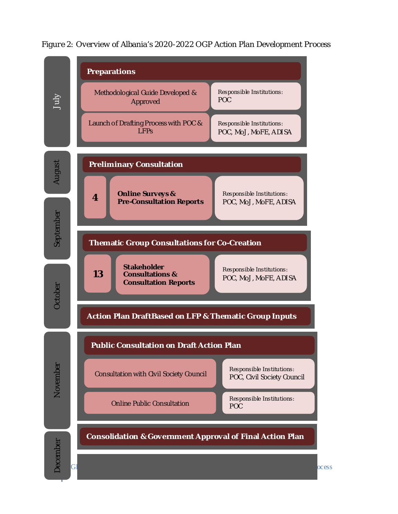

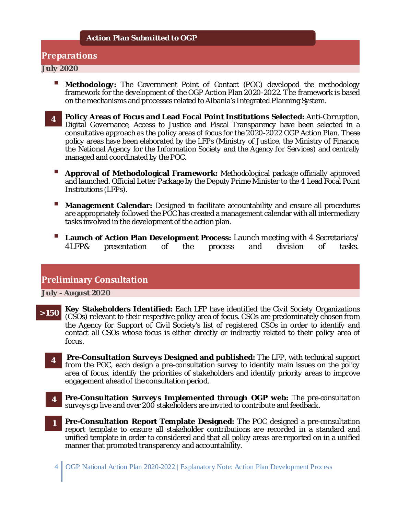### **Action Plan Submitted to OGP**

### **Preparations**

#### **July 2020**

- **Methodology:** The Government Point of Contact (POC) developed the methodology framework for the development of the OGP Action Plan 2020-2022. The framework is based on the mechanisms and processes related to Albania's Integrated Planning System.
- **Policy Areas of Focus and Lead Focal Point Institutions Selected:** Anti-Corruption, Digital Governance, Access to Justice and Fiscal Transparency have been selected in a consultative approach as the policy areas of focus for the 2020-2022 OGP Action Plan. These policy areas have been elaborated by the LFPs (Ministry of Justice, the Ministry of Finance, the National Agency for the Information Society and the Agency for Services) and centrally managed and coordinated by the POC. **4**
	- **Approval of Methodological Framework:** Methodological package officially approved and launched. Official Letter Package by the Deputy Prime Minister to the 4 Lead Focal Point Institutions (LFPs).
	- **Management Calendar:** Designed to facilitate accountability and ensure all procedures are appropriately followed the POC has created a management calendar with all intermediary tasks involved in the development of the action plan.
	- **Launch of Action Plan Development Process:** Launch meeting with 4 Secretariats/ 4LFP& presentation of the process and division of tasks.

## **Preliminary Consultation**

**July - August 2020**

- **Key Stakeholders Identified:** Each LFP have identified the Civil Society Organizations (CSOs) relevant to their respective policy area of focus. CSOs are predominately chosen from the Agency for Support of Civil Society's list of registered CSOs in order to identify and contact all CSOs whose focus is either directly or indirectly related to their policy area of focus. **>150**
	- **Pre-Consultation Surveys Designed and published:** The LFP, with technical support from the POC, each design a pre-consultation survey to identify main issues on the policy area of focus, identify the priorities of stakeholders and identify priority areas to improve engagement ahead of the consultation period. **4**
	- **Pre-Consultation Surveys Implemented through OGP web:** The pre-consultation surveys go live and over 200 stakeholders are invited to contribute and feedback. **4**
	- **Pre-Consultation Report Template Designed:** The POC designed a pre-consultation report template to ensure all stakeholder contributions are recorded in a standard and unified template in order to considered and that all policy areas are reported on in a unified manner that promoted transparency and accountability. **1**
		- 4 OGP National Action Plan 2020-2022 | Explanatory Note: Action Plan Development Process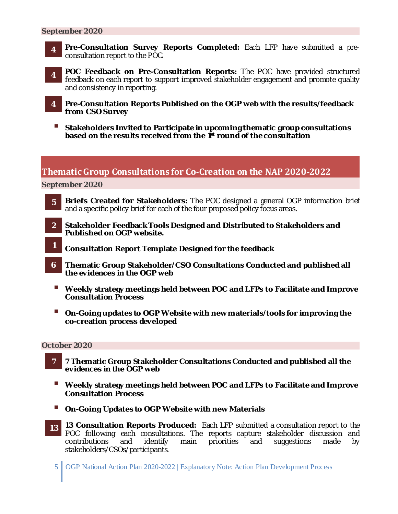- **Pre-Consultation Survey Reports Completed:** Each LFP have submitted a preconsultation report to the POC. **4**
- **POC Feedback on Pre-Consultation Reports:** The POC have provided structured feedback on each report to support improved stakeholder engagement and promote quality and consistency in reporting. **4**
- **Pre-Consultation Reports Published on the OGP web with the results/feedback from CSO Survey 4**
	- **Stakeholders Invited to Participate in upcoming thematic group consultations based on the results received from the 1st round of the consultation**

### **Thematic Group Consultations for Co-Creation on the NAP 2020-2022**

**September 2020**

- **Briefs Created for Stakeholders:** The POC designed a general OGP information brief and a specific policy brief for each of the four proposed policy focus areas. **5**
- **Stakeholder Feedback Tools Designed and Distributed to Stakeholders and Published on OGP website. 2**
- **Consultation Report Template Designed for the feedback 1**
- **Thematic Group Stakeholder/CSO Consultations Conducted and published all the evidences in the OGP web 6**
	- **Weekly strategy meetings held between POC and LFPs to Facilitate and Improve Consultation Process**
	- **On-Going updates to OGP Website with new materials/tools for improving the co-creation process developed**

#### **October 2020**

- **<sup>7</sup> Thematic Group Stakeholder Consultations Conducted and published all the evidences in the OGP web 7**
	- **Weekly strategy meetings held between POC and LFPs to Facilitate and Improve Consultation Process**
	- **On-Going Updates to OGP Website with new Materials**
- **13 Consultation Reports Produced:** Each LFP submitted a consultation report to the POC following each consultations. The reports capture stakeholder discussion and contributions and identify main priorities and suggestions made by stakeholders/CSOs/participants. **13**
	- 5 OGP National Action Plan 2020-2022 | Explanatory Note: Action Plan Development Process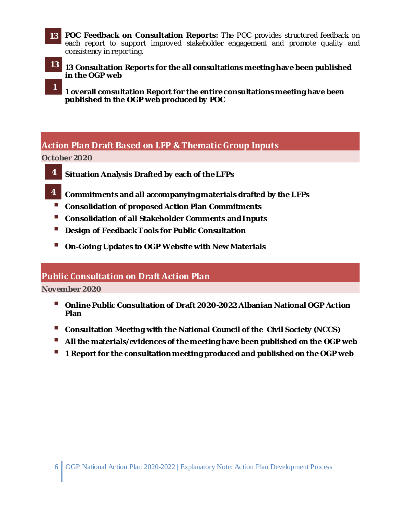- 13 POC Feedback on Consultation Reports: The POC provides structured feedback on each report to support improved stakeholder engagement and promote quality and consistency in reporting.
- **13 Consultation Reports for the all consultations meeting have been published 13 in the OGP web**
	- **<sup>1</sup> overall consultation Report for the entire consultations meeting have been published in the OGP web produced by POC**

## **Action Plan Draft Based on LFP & Thematic Group Inputs**

**October 2020**

**1**

- **Situation Analysis Drafted by each of the LFPs 4**
- **Commitments and all accompanying materials drafted by the LFPs 4**
- **Consolidation of proposed Action Plan Commitments**
- **Consolidation of all Stakeholder Comments and Inputs**
- **Design of Feedback Tools for Public Consultation**
- **On-Going Updates to OGP Website with New Materials**

## **Public Consultation on Draft Action Plan**

**November 2020**

- **Online Public Consultation of Draft 2020-2022 Albanian National OGP Action Plan**
- **Consultation Meeting with the National Council of the Civil Society (NCCS)**
- **All the materials/evidences of the meeting have been published on the OGP web**
- **1 Report for the consultation meeting produced and published on the OGP web**